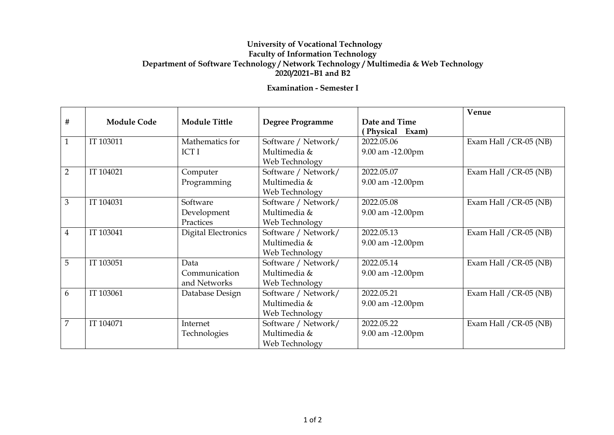## **University of Vocational Technology Faculty of Information Technology Department of Software Technology / Network Technology / Multimedia & Web Technology 2020/2021–B1 and B2**

## **Examination - Semester I**

|                |                    |                      |                     |                  | Venue                   |
|----------------|--------------------|----------------------|---------------------|------------------|-------------------------|
| $\#$           | <b>Module Code</b> | <b>Module Tittle</b> | Degree Programme    | Date and Time    |                         |
|                |                    |                      |                     | (Physical Exam)  |                         |
| $\mathbf{1}$   | IT 103011          | Mathematics for      | Software / Network/ | 2022.05.06       | Exam Hall $/CR-05$ (NB) |
|                |                    | <b>ICT I</b>         | Multimedia &        | 9.00 am -12.00pm |                         |
|                |                    |                      | Web Technology      |                  |                         |
| 2              | IT 104021          | Computer             | Software / Network/ | 2022.05.07       | Exam Hall $/CR-05$ (NB) |
|                |                    | Programming          | Multimedia &        | 9.00 am -12.00pm |                         |
|                |                    |                      | Web Technology      |                  |                         |
| 3              | IT 104031          | Software             | Software / Network/ | 2022.05.08       | Exam Hall $/CR-05$ (NB) |
|                |                    | Development          | Multimedia &        | 9.00 am -12.00pm |                         |
|                |                    | Practices            | Web Technology      |                  |                         |
| 4              | IT 103041          | Digital Electronics  | Software / Network/ | 2022.05.13       | Exam Hall $/CR-05$ (NB) |
|                |                    |                      | Multimedia &        | 9.00 am -12.00pm |                         |
|                |                    |                      | Web Technology      |                  |                         |
| 5              | IT 103051          | Data                 | Software / Network/ | 2022.05.14       | Exam Hall $/CR-05$ (NB) |
|                |                    | Communication        | Multimedia &        | 9.00 am -12.00pm |                         |
|                |                    | and Networks         | Web Technology      |                  |                         |
| 6              | IT 103061          | Database Design      | Software / Network/ | 2022.05.21       | Exam Hall $/CR-05$ (NB) |
|                |                    |                      | Multimedia &        | 9.00 am -12.00pm |                         |
|                |                    |                      | Web Technology      |                  |                         |
| $\overline{7}$ | IT 104071          | Internet             | Software / Network/ | 2022.05.22       | Exam Hall $/CR-05$ (NB) |
|                |                    | Technologies         | Multimedia &        | 9.00 am -12.00pm |                         |
|                |                    |                      | Web Technology      |                  |                         |